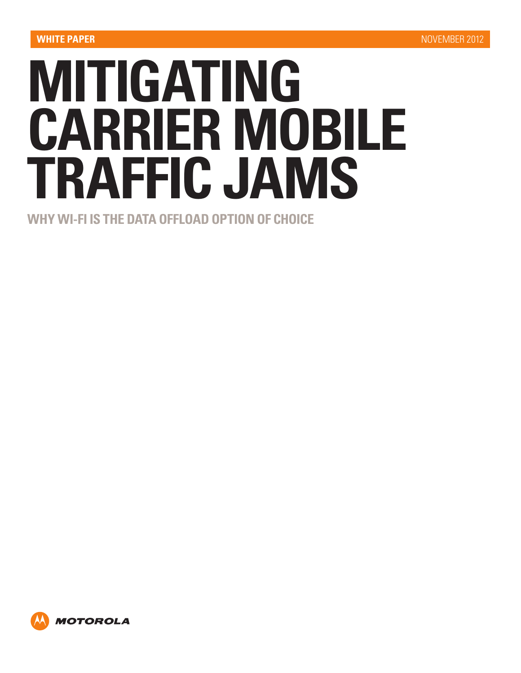# **MITIGATING CARRIER MOBILE TRAFFIC JAMS**

**WHY WI-FI IS THE DATA OFFLOAD OPTION OF CHOICE**

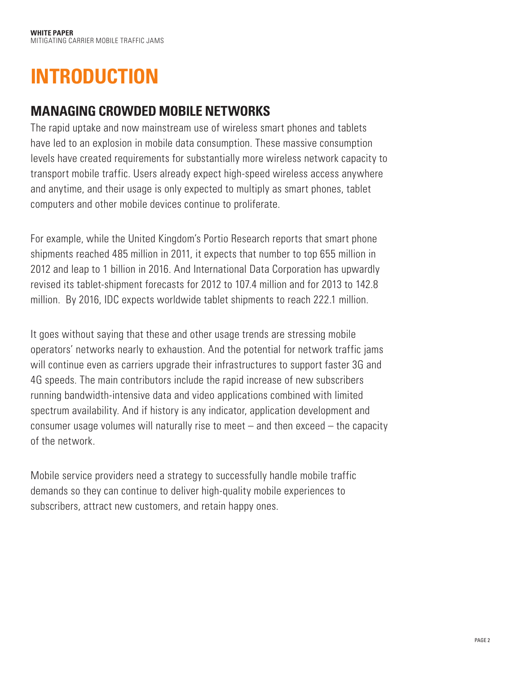## **INTRODUCTION**

## **MANAGING CROWDED MOBILE NETWORKS**

The rapid uptake and now mainstream use of wireless smart phones and tablets have led to an explosion in mobile data consumption. These massive consumption levels have created requirements for substantially more wireless network capacity to transport mobile traffic. Users already expect high-speed wireless access anywhere and anytime, and their usage is only expected to multiply as smart phones, tablet computers and other mobile devices continue to proliferate.

For example, while the United Kingdom's Portio Research reports that smart phone shipments reached 485 million in 2011, it expects that number to top 655 million in 2012 and leap to 1 billion in 2016. And International Data Corporation has upwardly revised its tablet-shipment forecasts for 2012 to 107.4 million and for 2013 to 142.8 million. By 2016, IDC expects worldwide tablet shipments to reach 222.1 million.

It goes without saying that these and other usage trends are stressing mobile operators' networks nearly to exhaustion. And the potential for network traffic jams will continue even as carriers upgrade their infrastructures to support faster 3G and 4G speeds. The main contributors include the rapid increase of new subscribers running bandwidth-intensive data and video applications combined with limited spectrum availability. And if history is any indicator, application development and consumer usage volumes will naturally rise to meet – and then exceed – the capacity of the network.

Mobile service providers need a strategy to successfully handle mobile traffic demands so they can continue to deliver high-quality mobile experiences to subscribers, attract new customers, and retain happy ones.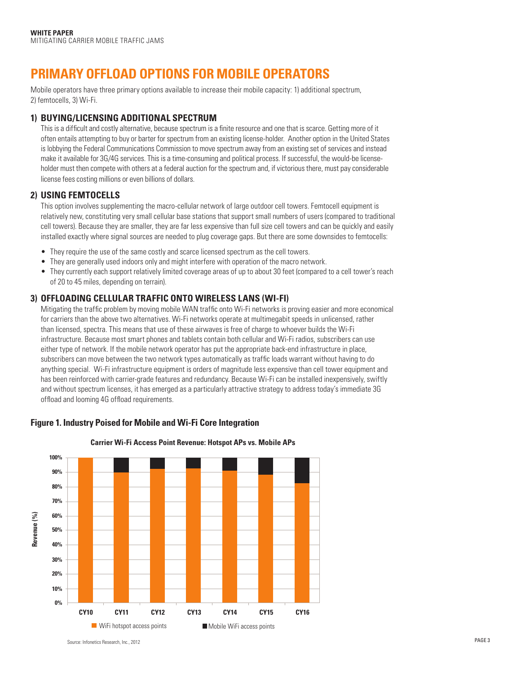## **PRIMARY OFFLOAD OPTIONS FOR MOBILE OPERATORS**

Mobile operators have three primary options available to increase their mobile capacity: 1) additional spectrum, 2) femtocells, 3) Wi-Fi.

#### **1) BUYING/LICENSING ADDITIONAL SPECTRUM**

This is a difficult and costly alternative, because spectrum is a finite resource and one that is scarce. Getting more of it often entails attempting to buy or barter for spectrum from an existing license-holder. Another option in the United States is lobbying the Federal Communications Commission to move spectrum away from an existing set of services and instead make it available for 3G/4G services. This is a time-consuming and political process. If successful, the would-be licenseholder must then compete with others at a federal auction for the spectrum and, if victorious there, must pay considerable license fees costing millions or even billions of dollars.

#### **2) USING FEMTOCELLS**

This option involves supplementing the macro-cellular network of large outdoor cell towers. Femtocell equipment is relatively new, constituting very small cellular base stations that support small numbers of users (compared to traditional cell towers). Because they are smaller, they are far less expensive than full size cell towers and can be quickly and easily installed exactly where signal sources are needed to plug coverage gaps. But there are some downsides to femtocells:

- They require the use of the same costly and scarce licensed spectrum as the cell towers.
- They are generally used indoors only and might interfere with operation of the macro network.
- • They currently each support relatively limited coverage areas of up to about 30 feet (compared to a cell tower's reach of 20 to 45 miles, depending on terrain).

#### **3) OFFLOADING CELLULAR TRAFFIC ONTO WIRELESS LANS (WI-FI)**

Mitigating the traffic problem by moving mobile WAN traffic onto Wi-Fi networks is proving easier and more economical for carriers than the above two alternatives. Wi-Fi networks operate at multimegabit speeds in unlicensed, rather than licensed, spectra. This means that use of these airwaves is free of charge to whoever builds the Wi-Fi infrastructure. Because most smart phones and tablets contain both cellular and Wi-Fi radios, subscribers can use either type of network. If the mobile network operator has put the appropriate back-end infrastructure in place, subscribers can move between the two network types automatically as traffic loads warrant without having to do anything special. Wi-Fi infrastructure equipment is orders of magnitude less expensive than cell tower equipment and has been reinforced with carrier-grade features and redundancy. Because Wi-Fi can be installed inexpensively, swiftly and without spectrum licenses, it has emerged as a particularly attractive strategy to address today's immediate 3G offload and looming 4G offload requirements.

### **Figure 1. Industry Poised for Mobile and Wi-Fi Core Integration** Headline caption: Figure 1. Industry Poised for Mobile and Wi-Fi Core Integration



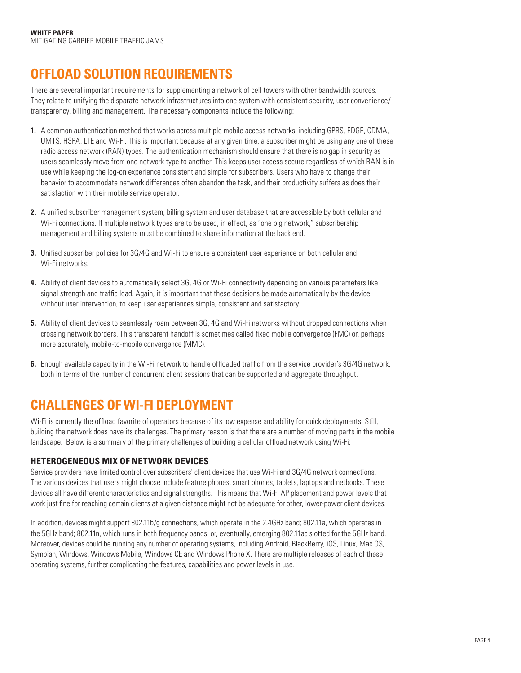## **OFFLOAD SOLUTION REQUIREMENTS**

There are several important requirements for supplementing a network of cell towers with other bandwidth sources. They relate to unifying the disparate network infrastructures into one system with consistent security, user convenience/ transparency, billing and management. The necessary components include the following:

- **1.** A common authentication method that works across multiple mobile access networks, including GPRS, EDGE, CDMA, UMTS, HSPA, LTE and Wi-Fi. This is important because at any given time, a subscriber might be using any one of these radio access network (RAN) types. The authentication mechanism should ensure that there is no gap in security as users seamlessly move from one network type to another. This keeps user access secure regardless of which RAN is in use while keeping the log-on experience consistent and simple for subscribers. Users who have to change their behavior to accommodate network differences often abandon the task, and their productivity suffers as does their satisfaction with their mobile service operator.
- **2.** A unified subscriber management system, billing system and user database that are accessible by both cellular and Wi-Fi connections. If multiple network types are to be used, in effect, as "one big network," subscribership management and billing systems must be combined to share information at the back end.
- **3.** Unified subscriber policies for 3G/4G and Wi-Fi to ensure a consistent user experience on both cellular and Wi-Fi networks.
- **4.** Ability of client devices to automatically select 3G, 4G or Wi-Fi connectivity depending on various parameters like signal strength and traffic load. Again, it is important that these decisions be made automatically by the device, without user intervention, to keep user experiences simple, consistent and satisfactory.
- **5.** Ability of client devices to seamlessly roam between 3G, 4G and Wi-Fi networks without dropped connections when crossing network borders. This transparent handoff is sometimes called fixed mobile convergence (FMC) or, perhaps more accurately, mobile-to-mobile convergence (MMC).
- **6.** Enough available capacity in the Wi-Fi network to handle offloaded traffic from the service provider's 3G/4G network, both in terms of the number of concurrent client sessions that can be supported and aggregate throughput.

## **CHALLENGES OF WI-FI DEPLOYMENT**

Wi-Fi is currently the offload favorite of operators because of its low expense and ability for quick deployments. Still, building the network does have its challenges. The primary reason is that there are a number of moving parts in the mobile landscape. Below is a summary of the primary challenges of building a cellular offload network using Wi-Fi:

#### **HETEROGENEOUS MIX OF NETWORK DEVICES**

Service providers have limited control over subscribers' client devices that use Wi-Fi and 3G/4G network connections. The various devices that users might choose include feature phones, smart phones, tablets, laptops and netbooks. These devices all have different characteristics and signal strengths. This means that Wi-Fi AP placement and power levels that work just fine for reaching certain clients at a given distance might not be adequate for other, lower-power client devices.

In addition, devices might support 802.11b/g connections, which operate in the 2.4GHz band; 802.11a, which operates in the 5GHz band; 802.11n, which runs in both frequency bands, or, eventually, emerging 802.11ac slotted for the 5GHz band. Moreover, devices could be running any number of operating systems, including Android, BlackBerry, iOS, Linux, Mac OS, Symbian, Windows, Windows Mobile, Windows CE and Windows Phone X. There are multiple releases of each of these operating systems, further complicating the features, capabilities and power levels in use.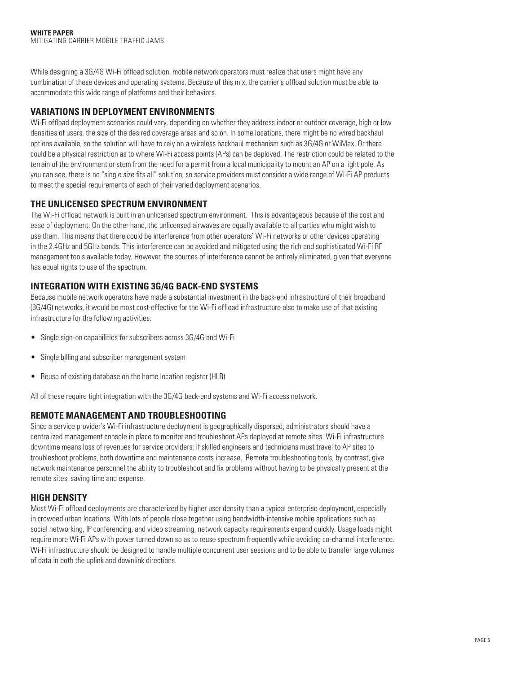While designing a 3G/4G Wi-Fi offload solution, mobile network operators must realize that users might have any combination of these devices and operating systems. Because of this mix, the carrier's offload solution must be able to accommodate this wide range of platforms and their behaviors.

#### **VARIATIONS IN DEPLOYMENT ENVIRONMENTS**

Wi-Fi offload deployment scenarios could vary, depending on whether they address indoor or outdoor coverage, high or low densities of users, the size of the desired coverage areas and so on. In some locations, there might be no wired backhaul options available, so the solution will have to rely on a wireless backhaul mechanism such as 3G/4G or WiMax. Or there could be a physical restriction as to where Wi-Fi access points (APs) can be deployed. The restriction could be related to the terrain of the environment or stem from the need for a permit from a local municipality to mount an AP on a light pole. As you can see, there is no "single size fits all" solution, so service providers must consider a wide range of Wi-Fi AP products to meet the special requirements of each of their varied deployment scenarios.

#### **THE UNLICENSED SPECTRUM ENVIRONMENT**

The Wi-Fi offload network is built in an unlicensed spectrum environment. This is advantageous because of the cost and ease of deployment. On the other hand, the unlicensed airwaves are equally available to all parties who might wish to use them. This means that there could be interference from other operators' Wi-Fi networks or other devices operating in the 2.4GHz and 5GHz bands. This interference can be avoided and mitigated using the rich and sophisticated Wi-Fi RF management tools available today. However, the sources of interference cannot be entirely eliminated, given that everyone has equal rights to use of the spectrum.

#### **INTEGRATION WITH EXISTING 3G/4G BACK-END SYSTEMS**

Because mobile network operators have made a substantial investment in the back-end infrastructure of their broadband (3G/4G) networks, it would be most cost-effective for the Wi-Fi offload infrastructure also to make use of that existing infrastructure for the following activities:

- Single sign-on capabilities for subscribers across 3G/4G and Wi-Fi
- Single billing and subscriber management system
- Reuse of existing database on the home location register (HLR)

All of these require tight integration with the 3G/4G back-end systems and Wi-Fi access network.

#### **REMOTE MANAGEMENT AND TROUBLESHOOTING**

Since a service provider's Wi-Fi infrastructure deployment is geographically dispersed, administrators should have a centralized management console in place to monitor and troubleshoot APs deployed at remote sites. Wi-Fi infrastructure downtime means loss of revenues for service providers; if skilled engineers and technicians must travel to AP sites to troubleshoot problems, both downtime and maintenance costs increase. Remote troubleshooting tools, by contrast, give network maintenance personnel the ability to troubleshoot and fix problems without having to be physically present at the remote sites, saving time and expense.

#### **HIGH DENSITY**

Most Wi-Fi offload deployments are characterized by higher user density than a typical enterprise deployment, especially in crowded urban locations. With lots of people close together using bandwidth-intensive mobile applications such as social networking, IP conferencing, and video streaming, network capacity requirements expand quickly. Usage loads might require more Wi-Fi APs with power turned down so as to reuse spectrum frequently while avoiding co-channel interference. Wi-Fi infrastructure should be designed to handle multiple concurrent user sessions and to be able to transfer large volumes of data in both the uplink and downlink directions.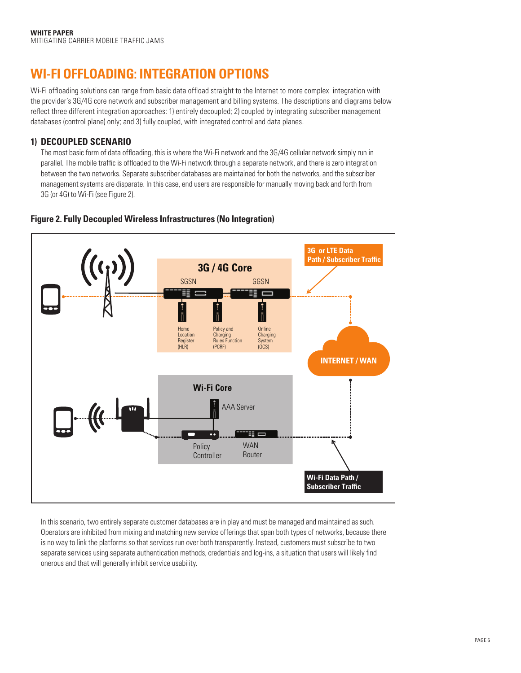## **WI-FI OFFLOADING: INTEGRATION OPTIONS**

Wi-Fi offloading solutions can range from basic data offload straight to the Internet to more complex integration with the provider's 3G/4G core network and subscriber management and billing systems. The descriptions and diagrams below reflect three different integration approaches: 1) entirely decoupled; 2) coupled by integrating subscriber management databases (control plane) only; and 3) fully coupled, with integrated control and data planes.

#### **1) DECOUPLED SCENARIO**

The most basic form of data offloading, this is where the Wi-Fi network and the 3G/4G cellular network simply run in parallel. The mobile traffic is offloaded to the Wi-Fi network through a separate network, and there is zero integration between the two networks. Separate subscriber databases are maintained for both the networks, and the subscriber management systems are disparate. In this case, end users are responsible for manually moving back and forth from 3G (or 4G) to Wi-Fi (see Figure 2).



#### **Figure 2. Fully Decoupled Wireless Infrastructures (No Integration)**

In this scenario, two entirely separate customer databases are in play and must be managed and maintained as such. Operators are inhibited from mixing and matching new service offerings that span both types of networks, because there is no way to link the platforms so that services run over both transparently. Instead, customers must subscribe to two separate services using separate authentication methods, credentials and log-ins, a situation that users will likely find onerous and that will generally inhibit service usability.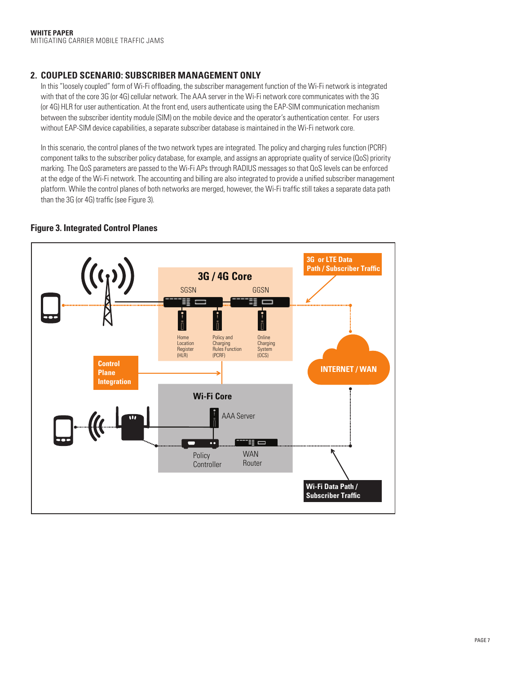#### **2. COUPLED SCENARIO: SUBSCRIBER MANAGEMENT ONLY**

In this "loosely coupled" form of Wi-Fi offloading, the subscriber management function of the Wi-Fi network is integrated with that of the core 3G (or 4G) cellular network. The AAA server in the Wi-Fi network core communicates with the 3G (or 4G) HLR for user authentication. At the front end, users authenticate using the EAP-SIM communication mechanism between the subscriber identity module (SIM) on the mobile device and the operator's authentication center. For users without EAP-SIM device capabilities, a separate subscriber database is maintained in the Wi-Fi network core.

In this scenario, the control planes of the two network types are integrated. The policy and charging rules function (PCRF) component talks to the subscriber policy database, for example, and assigns an appropriate quality of service (QoS) priority marking. The QoS parameters are passed to the Wi-Fi APs through RADIUS messages so that QoS levels can be enforced at the edge of the Wi-Fi network. The accounting and billing are also integrated to provide a unified subscriber management platform. While the control planes of both networks are merged, however, the Wi-Fi traffic still takes a separate data path than the 3G (or 4G) traffic (see Figure 3).



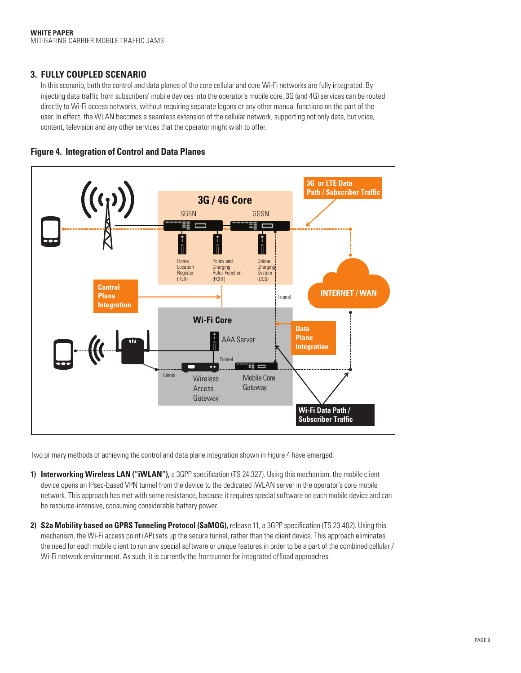#### **3. FULLY COUPLED SCENARIO**

In this scenario, both the control and data planes of the core cellular and core Wi-Fi networks are fully integrated. By injecting data traffic from subscribers' mobile devices into the operator's mobile core, 3G (and 4G) services can be routed directly to Wi-Fi access networks, without requiring separate logons or any other manual functions on the part of the user. In effect, the WLAN becomes a seamless extension of the cellular network, supporting not only data, but voice, content, television and any other services that the operator might wish to offer.





Two primary methods of achieving the control and data plane integration shown in Figure 4 have emerged:

- **1) Interworking Wireless LAN ("iWLAN"),** a 3GPP specification (TS 24.327). Using this mechanism, the mobile client device opens an IPsec-based VPN tunnel from the device to the dedicated iWLAN server in the operator's core mobile network. This approach has met with some resistance, because it requires special software on each mobile device and can be resource-intensive, consuming considerable battery power.
- **2) S2a Mobility based on GPRS Tunneling Protocol (SaMOG),** release 11, a 3GPP specification (TS 23.402). Using this mechanism, the Wi-Fi access point (AP) sets up the secure tunnel, rather than the client device. This approach eliminates the need for each mobile client to run any special software or unique features in order to be a part of the combined cellular / Wi-Fi network environment. As such, it is currently the frontrunner for integrated offload approaches.